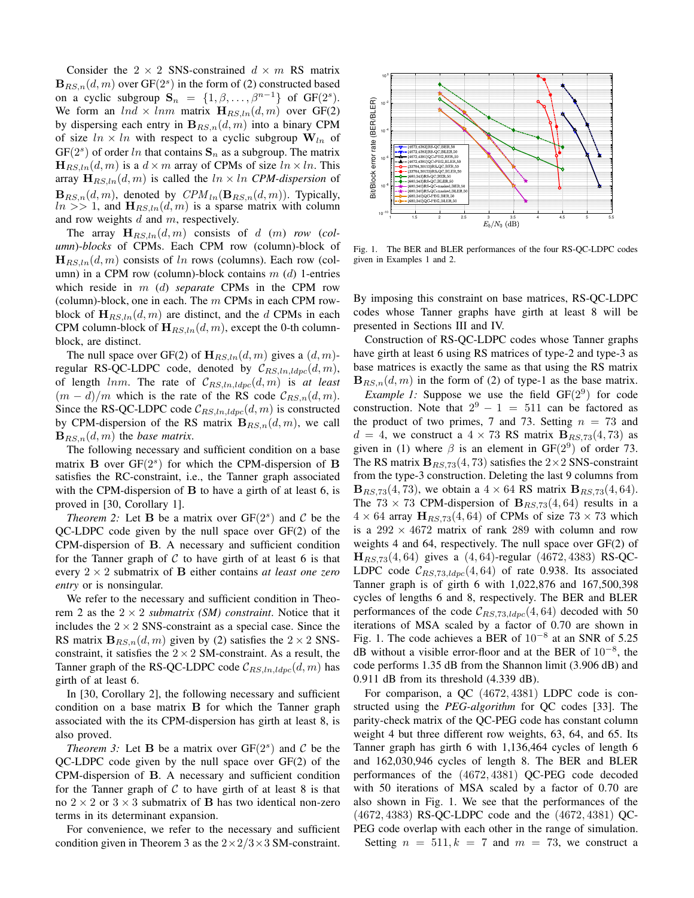Consider the  $2 \times 2$  SNS-constrained  $d \times m$  RS matrix  $B_{RS,n}(d,m)$  over  $GF(2<sup>s</sup>)$  in the form of (2) constructed based on a cyclic subgroup  $S_n = \{1, \beta, \ldots, \beta^{n-1}\}\$  of  $GF(2^s)$ . We form an  $ln d \times ln m$  matrix  $\mathbf{H}_{RS,ln}(d, m)$  over GF(2) by dispersing each entry in  $B_{RS,n}(d, m)$  into a binary CPM of size  $ln \times ln$  with respect to a cyclic subgroup  $W_{ln}$  of  $GF(2<sup>s</sup>)$  of order ln that contains  $S_n$  as a subgroup. The matrix  $\mathbf{H}_{RS,ln}(d,m)$  is a  $d \times m$  array of CPMs of size  $ln \times ln$ . This array  $\mathbf{H}_{RS,ln}(d, m)$  is called the  $ln \times ln$  *CPM-dispersion* of  ${\bf B}_{RS,n}(d,m)$ , denoted by  $\mathbb{CPM}_{ln}({\bf B}_{RS,n}(d,m))$ . Typically,  $ln \gg 1$ , and  $\mathbf{H}_{RS,ln}(d,m)$  is a sparse matrix with column and row weights  $d$  and  $m$ , respectively.

The array  $H_{RS,ln}(d, m)$  consists of d (m) *row* (*column*)-*blocks* of CPMs. Each CPM row (column)-block of  $\mathbf{H}_{RS,ln}(d, m)$  consists of ln rows (columns). Each row (column) in a CPM row (column)-block contains  $m(d)$  1-entries which reside in m (d) *separate* CPMs in the CPM row (column)-block, one in each. The  $m$  CPMs in each CPM rowblock of  $\mathbf{H}_{RS,ln}(d, m)$  are distinct, and the d CPMs in each CPM column-block of  $\mathbf{H}_{RS,ln}(d, m)$ , except the 0-th columnblock, are distinct.

The null space over GF(2) of  $\mathbf{H}_{RS,ln}(d, m)$  gives a  $(d, m)$ regular RS-QC-LDPC code, denoted by  $\mathcal{C}_{RS,ln,ldpc}(d, m)$ , of length  $lnm$ . The rate of  $C_{RS,ln, ldpc}(d, m)$  is *at least*  $(m - d)/m$  which is the rate of the RS code  $\mathcal{C}_{RS,n}(d, m)$ . Since the RS-QC-LDPC code  $\mathcal{C}_{RS,ln,ldpc}(d,m)$  is constructed by CPM-dispersion of the RS matrix  $B_{RS,n}(d, m)$ , we call  ${\bf B}_{RS,n}(d,m)$  the *base matrix*.

The following necessary and sufficient condition on a base matrix **B** over  $GF(2<sup>s</sup>)$  for which the CPM-dispersion of **B** satisfies the RC-constraint, i.e., the Tanner graph associated with the CPM-dispersion of  $\bf{B}$  to have a girth of at least 6, is proved in [30, Corollary 1].

*Theorem* 2: Let **B** be a matrix over  $GF(2<sup>s</sup>)$  and C be the QC-LDPC code given by the null space over GF(2) of the CPM-dispersion of B. A necessary and sufficient condition for the Tanner graph of  $C$  to have girth of at least 6 is that every  $2 \times 2$  submatrix of **B** either contains *at least one zero entry* or is nonsingular.

We refer to the necessary and sufficient condition in Theorem 2 as the  $2 \times 2$  *submatrix (SM) constraint*. Notice that it includes the  $2 \times 2$  SNS-constraint as a special case. Since the RS matrix  $B_{RS,n}(d, m)$  given by (2) satisfies the  $2 \times 2$  SNSconstraint, it satisfies the  $2 \times 2$  SM-constraint. As a result, the Tanner graph of the RS-QC-LDPC code  $\mathcal{C}_{RS,ln, ldpc}(d, m)$  has girth of at least 6.

In [30, Corollary 2], the following necessary and sufficient condition on a base matrix B for which the Tanner graph associated with the its CPM-dispersion has girth at least 8, is also proved.

*Theorem 3:* Let **B** be a matrix over  $GF(2<sup>s</sup>)$  and C be the QC-LDPC code given by the null space over GF(2) of the CPM-dispersion of B. A necessary and sufficient condition for the Tanner graph of  $C$  to have girth of at least 8 is that no  $2 \times 2$  or  $3 \times 3$  submatrix of **B** has two identical non-zero terms in its determinant expansion.

For convenience, we refer to the necessary and sufficient condition given in Theorem 3 as the  $2 \times 2/3 \times 3$  SM-constraint.



Fig. 1. The BER and BLER performances of the four RS-QC-LDPC codes given in Examples 1 and 2.

By imposing this constraint on base matrices, RS-QC-LDPC codes whose Tanner graphs have girth at least 8 will be presented in Sections III and IV.

Construction of RS-QC-LDPC codes whose Tanner graphs have girth at least 6 using RS matrices of type-2 and type-3 as base matrices is exactly the same as that using the RS matrix  ${\bf B}_{RS,n}(d,m)$  in the form of (2) of type-1 as the base matrix.

*Example 1:* Suppose we use the field  $GF(2^9)$  for code construction. Note that  $2^9 - 1 = 511$  can be factored as the product of two primes, 7 and 73. Setting  $n = 73$  and  $d = 4$ , we construct a  $4 \times 73$  RS matrix  $B_{RS,73}(4,73)$  as given in (1) where  $\beta$  is an element in GF(2<sup>9</sup>) of order 73. The RS matrix  $B_{RS,73}(4,73)$  satisfies the 2×2 SNS-constraint from the type-3 construction. Deleting the last 9 columns from  ${\bf B}_{RS,73}(4,73)$ , we obtain a  $4 \times 64$  RS matrix  ${\bf B}_{RS,73}(4,64)$ . The 73  $\times$  73 CPM-dispersion of  $B_{RS,73}(4, 64)$  results in a  $4 \times 64$  array  $\mathbf{H}_{RS,73}(4,64)$  of CPMs of size  $73 \times 73$  which is a  $292 \times 4672$  matrix of rank 289 with column and row weights 4 and 64, respectively. The null space over GF(2) of  $H_{RS,73}(4, 64)$  gives a  $(4, 64)$ -regular  $(4672, 4383)$  RS-QC-LDPC code  $C_{RS,73,ldnc}(4,64)$  of rate 0.938. Its associated Tanner graph is of girth 6 with 1,022,876 and 167,500,398 cycles of lengths 6 and 8, respectively. The BER and BLER performances of the code  $C_{RS,73,ldpc}(4, 64)$  decoded with 50 iterations of MSA scaled by a factor of 0.70 are shown in Fig. 1. The code achieves a BER of  $10^{-8}$  at an SNR of 5.25 dB without a visible error-floor and at the BER of  $10^{-8}$ , the code performs 1.35 dB from the Shannon limit (3.906 dB) and 0.911 dB from its threshold (4.339 dB).

For comparison, a QC (4672, 4381) LDPC code is constructed using the *PEG-algorithm* for QC codes [33]. The parity-check matrix of the QC-PEG code has constant column weight 4 but three different row weights, 63, 64, and 65. Its Tanner graph has girth 6 with 1,136,464 cycles of length 6 and 162,030,946 cycles of length 8. The BER and BLER performances of the (4672, 4381) QC-PEG code decoded with 50 iterations of MSA scaled by a factor of 0.70 are also shown in Fig. 1. We see that the performances of the (4672, 4383) RS-QC-LDPC code and the (4672, 4381) QC-PEG code overlap with each other in the range of simulation. Setting  $n = 511, k = 7$  and  $m = 73$ , we construct a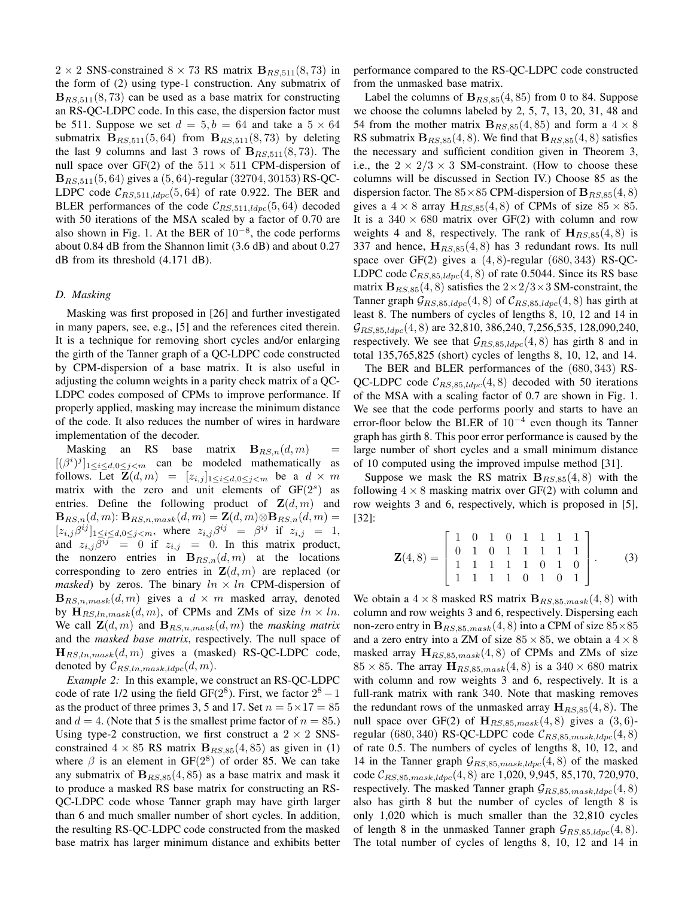$2 \times 2$  SNS-constrained  $8 \times 73$  RS matrix  $B_{RS, 511}(8, 73)$  in the form of (2) using type-1 construction. Any submatrix of  $B_{RS, 511}(8, 73)$  can be used as a base matrix for constructing an RS-QC-LDPC code. In this case, the dispersion factor must be 511. Suppose we set  $d = 5, b = 64$  and take a  $5 \times 64$ submatrix  $B_{RS,511}(5, 64)$  from  $B_{RS,511}(8, 73)$  by deleting the last 9 columns and last 3 rows of  $B_{RS,511}(8,73)$ . The null space over GF(2) of the  $511 \times 511$  CPM-dispersion of  ${\bf B}_{RS,511}(5, 64)$  gives a  $(5, 64)$ -regular  $(32704, 30153)$  RS-QC-LDPC code  $C_{RS,511,ldpc}(5,64)$  of rate 0.922. The BER and BLER performances of the code  $\mathcal{C}_{RS,511,ldpc}(5,64)$  decoded with 50 iterations of the MSA scaled by a factor of 0.70 are also shown in Fig. 1. At the BER of  $10^{-8}$ , the code performs about 0.84 dB from the Shannon limit (3.6 dB) and about 0.27 dB from its threshold (4.171 dB).

### *D. Masking*

Masking was first proposed in [26] and further investigated in many papers, see, e.g., [5] and the references cited therein. It is a technique for removing short cycles and/or enlarging the girth of the Tanner graph of a QC-LDPC code constructed by CPM-dispersion of a base matrix. It is also useful in adjusting the column weights in a parity check matrix of a QC-LDPC codes composed of CPMs to improve performance. If properly applied, masking may increase the minimum distance of the code. It also reduces the number of wires in hardware implementation of the decoder.

Masking an RS base matrix  $B_{RS,n}(d,m)$  =  $[(\beta^i)^j]_{1 \leq i \leq d, 0 \leq j < m}$  can be modeled mathematically as follows. Let  $\mathbf{Z}(d,m) = [z_{i,j}]_{1 \leq i \leq d, 0 \leq j \leq m}$  be a  $d \times m$ matrix with the zero and unit elements of  $GF(2<sup>s</sup>)$  as entries. Define the following product of  $\mathbf{Z}(d, m)$  and  ${\bf B}_{RS,n}(d,m)$ :  ${\bf B}_{RS,n,mask}(d,m) = {\bf Z}(d,m) \otimes {\bf B}_{RS,n}(d,m) =$  $[z_{i,j}\beta^{ij}]_{1\leq i\leq d, 0\leq j\leq m}$ , where  $z_{i,j}\beta^{ij} = \beta^{ij}$  if  $z_{i,j} = 1$ , and  $z_{i,j}\beta^{ij} = 0$  if  $z_{i,j} = 0$ . In this matrix product, the nonzero entries in  $B_{RS,n}(d, m)$  at the locations corresponding to zero entries in  $\mathbf{Z}(d,m)$  are replaced (or *masked*) by zeros. The binary  $ln \times ln$  CPM-dispersion of  $\mathbf{B}_{RS,n,mask}(d,m)$  gives a  $d \times m$  masked array, denoted by  $\mathbf{H}_{RS,ln,mask}(d,m)$ , of CPMs and ZMs of size  $ln \times ln$ . We call  $\mathbf{Z}(d,m)$  and  $\mathbf{B}_{RS,n,mask}(d,m)$  the *masking matrix* and the *masked base matrix*, respectively. The null space of  $\mathbf{H}_{RS,ln,mask}(d,m)$  gives a (masked) RS-QC-LDPC code, denoted by  $\mathcal{C}_{RS,ln,mask,ldpc}(d,m)$ .

*Example 2:* In this example, we construct an RS-QC-LDPC code of rate 1/2 using the field GF( $2^8$ ). First, we factor  $2^8 - 1$ as the product of three primes 3, 5 and 17. Set  $n = 5 \times 17 = 85$ and  $d = 4$ . (Note that 5 is the smallest prime factor of  $n = 85$ .) Using type-2 construction, we first construct a  $2 \times 2$  SNSconstrained  $4 \times 85$  RS matrix  $B_{RS,85}(4, 85)$  as given in (1) where  $\beta$  is an element in GF( $2^8$ ) of order 85. We can take any submatrix of  $B_{RS,85}(4, 85)$  as a base matrix and mask it to produce a masked RS base matrix for constructing an RS-QC-LDPC code whose Tanner graph may have girth larger than 6 and much smaller number of short cycles. In addition, the resulting RS-QC-LDPC code constructed from the masked base matrix has larger minimum distance and exhibits better performance compared to the RS-QC-LDPC code constructed from the unmasked base matrix.

Label the columns of  $B_{RS,85}(4, 85)$  from 0 to 84. Suppose we choose the columns labeled by 2, 5, 7, 13, 20, 31, 48 and 54 from the mother matrix  $B_{RS,85}(4, 85)$  and form a  $4 \times 8$ RS submatrix  $B_{RS,85}(4,8)$ . We find that  $B_{RS,85}(4,8)$  satisfies the necessary and sufficient condition given in Theorem 3, i.e., the  $2 \times 2/3 \times 3$  SM-constraint. (How to choose these columns will be discussed in Section IV.) Choose 85 as the dispersion factor. The  $85 \times 85$  CPM-dispersion of  $\mathbf{B}_{RS,85}(4,8)$ gives a  $4 \times 8$  array  $H_{RS,85}(4,8)$  of CPMs of size  $85 \times 85$ . It is a  $340 \times 680$  matrix over GF(2) with column and row weights 4 and 8, respectively. The rank of  $H_{RS,85}(4,8)$  is 337 and hence,  $\mathbf{H}_{RS,85}(4,8)$  has 3 redundant rows. Its null space over GF(2) gives a  $(4, 8)$ -regular  $(680, 343)$  RS-QC-LDPC code  $C_{RS,85,ldpc}(4,8)$  of rate 0.5044. Since its RS base matrix  $\mathbf{B}_{RS,85}(4,8)$  satisfies the  $2\times2/3\times3$  SM-constraint, the Tanner graph  $\mathcal{G}_{RS,85,ldpc}(4,8)$  of  $\mathcal{C}_{RS,85,ldpc}(4,8)$  has girth at least 8. The numbers of cycles of lengths 8, 10, 12 and 14 in  $\mathcal{G}_{RS,85,ldpc}(4,8)$  are 32,810, 386,240, 7,256,535, 128,090,240, respectively. We see that  $G_{RS,85,ldpc}(4,8)$  has girth 8 and in total 135,765,825 (short) cycles of lengths 8, 10, 12, and 14.

The BER and BLER performances of the (680, 343) RS-QC-LDPC code  $\mathcal{C}_{RS,85, ldpc}(4,8)$  decoded with 50 iterations of the MSA with a scaling factor of 0.7 are shown in Fig. 1. We see that the code performs poorly and starts to have an error-floor below the BLER of  $10^{-4}$  even though its Tanner graph has girth 8. This poor error performance is caused by the large number of short cycles and a small minimum distance of 10 computed using the improved impulse method [31].

Suppose we mask the RS matrix  $B_{RS,85}(4,8)$  with the following  $4 \times 8$  masking matrix over GF(2) with column and row weights 3 and 6, respectively, which is proposed in [5], [32]:

$$
\mathbf{Z}(4,8) = \left[ \begin{array}{rrrrrrr} 1 & 0 & 1 & 0 & 1 & 1 & 1 & 1 \\ 0 & 1 & 0 & 1 & 1 & 1 & 1 & 1 \\ 1 & 1 & 1 & 1 & 1 & 0 & 1 & 0 \\ 1 & 1 & 1 & 1 & 0 & 1 & 0 & 1 \end{array} \right].
$$
 (3)

We obtain a  $4 \times 8$  masked RS matrix  $\mathbf{B}_{RS,85,mask}(4,8)$  with column and row weights 3 and 6, respectively. Dispersing each non-zero entry in  $\mathbf{B}_{RS,85,mask}(4,8)$  into a CPM of size  $85\times85$ and a zero entry into a ZM of size  $85 \times 85$ , we obtain a  $4 \times 8$ masked array  $H_{RS,85,mask}(4,8)$  of CPMs and ZMs of size  $85 \times 85$ . The array  $\mathbf{H}_{RS,85,mask}(4,8)$  is a  $340 \times 680$  matrix with column and row weights 3 and 6, respectively. It is a full-rank matrix with rank 340. Note that masking removes the redundant rows of the unmasked array  $\mathbf{H}_{RS,85}(4,8)$ . The null space over GF(2) of  $\mathbf{H}_{RS,85,mask}(4,8)$  gives a  $(3,6)$ regular (680, 340) RS-QC-LDPC code  $\mathcal{C}_{RS,85,mask,ldpc}(4,8)$ of rate 0.5. The numbers of cycles of lengths 8, 10, 12, and 14 in the Tanner graph  $\mathcal{G}_{RS,85,mask,ldpc}(4,8)$  of the masked code  $C_{RS,85,mask, ldpc}(4, 8)$  are 1,020, 9,945, 85,170, 720,970, respectively. The masked Tanner graph  $\mathcal{G}_{RS,85,mask,ldpc}(4,8)$ also has girth 8 but the number of cycles of length 8 is only 1,020 which is much smaller than the 32,810 cycles of length 8 in the unmasked Tanner graph  $\mathcal{G}_{RS,85,ldpc}(4,8)$ . The total number of cycles of lengths 8, 10, 12 and 14 in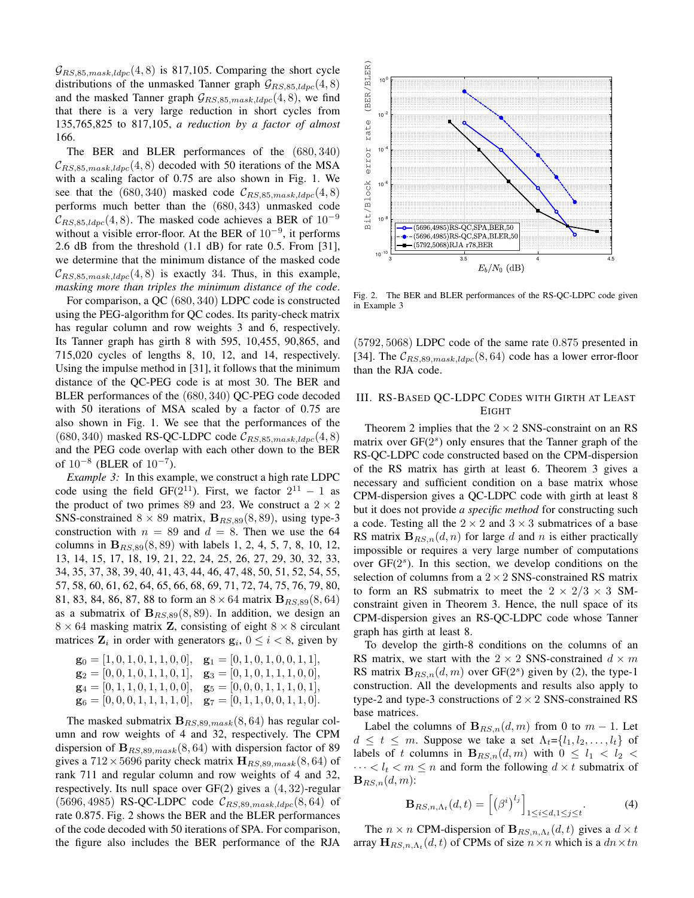$\mathcal{G}_{RS,85,mask,ldpc}(4,8)$  is 817,105. Comparing the short cycle distributions of the unmasked Tanner graph  $\mathcal{G}_{RS,85,ldpc}(4,8)$ and the masked Tanner graph  $\mathcal{G}_{RS,85,mask,ldpc}(4,8)$ , we find that there is a very large reduction in short cycles from 135,765,825 to 817,105, *a reduction by a factor of almost* 166.

The BER and BLER performances of the (680, 340)  $\mathcal{C}_{RS,85,mask,ldpc}(4,8)$  decoded with 50 iterations of the MSA with a scaling factor of 0.75 are also shown in Fig. 1. We see that the (680, 340) masked code  $\mathcal{C}_{RS,85,mask, ldpc}(4,8)$ performs much better than the (680, 343) unmasked code  $C_{RS,85,ldpc}(4,8)$ . The masked code achieves a BER of  $10^{-9}$ without a visible error-floor. At the BER of  $10^{-9}$ , it performs 2.6 dB from the threshold (1.1 dB) for rate 0.5. From [31], we determine that the minimum distance of the masked code  $C_{RS,85,mask,ldpc}(4,8)$  is exactly 34. Thus, in this example, *masking more than triples the minimum distance of the code*.

For comparison, a QC (680, 340) LDPC code is constructed using the PEG-algorithm for QC codes. Its parity-check matrix has regular column and row weights 3 and 6, respectively. Its Tanner graph has girth 8 with 595, 10,455, 90,865, and 715,020 cycles of lengths 8, 10, 12, and 14, respectively. Using the impulse method in [31], it follows that the minimum distance of the QC-PEG code is at most 30. The BER and BLER performances of the (680, 340) QC-PEG code decoded with 50 iterations of MSA scaled by a factor of 0.75 are also shown in Fig. 1. We see that the performances of the (680, 340) masked RS-QC-LDPC code  $\mathcal{C}_{RS,85,mask,ldpc}(4,8)$ and the PEG code overlap with each other down to the BER of  $10^{-8}$  (BLER of  $10^{-7}$ ).

*Example 3:* In this example, we construct a high rate LDPC code using the field GF( $2^{11}$ ). First, we factor  $2^{11} - 1$  as the product of two primes 89 and 23. We construct a  $2 \times 2$ SNS-constrained  $8 \times 89$  matrix,  $B_{RS,89}(8, 89)$ , using type-3 construction with  $n = 89$  and  $d = 8$ . Then we use the 64 columns in  $B_{RS,89}(8, 89)$  with labels 1, 2, 4, 5, 7, 8, 10, 12, 13, 14, 15, 17, 18, 19, 21, 22, 24, 25, 26, 27, 29, 30, 32, 33, 34, 35, 37, 38, 39, 40, 41, 43, 44, 46, 47, 48, 50, 51, 52, 54, 55, 57, 58, 60, 61, 62, 64, 65, 66, 68, 69, 71, 72, 74, 75, 76, 79, 80, 81, 83, 84, 86, 87, 88 to form an  $8 \times 64$  matrix  ${\bf B}_{RS,89}(8, 64)$ as a submatrix of  $B_{RS, 89}(8, 89)$ . In addition, we design an  $8 \times 64$  masking matrix **Z**, consisting of eight  $8 \times 8$  circulant matrices  $\mathbf{Z}_i$  in order with generators  $\mathbf{g}_i$ ,  $0 \le i < 8$ , given by

$$
\mathbf{g}_0 = [1, 0, 1, 0, 1, 1, 0, 0], \quad \mathbf{g}_1 = [0, 1, 0, 1, 0, 0, 1, 1], \n\mathbf{g}_2 = [0, 0, 1, 0, 1, 1, 0, 1], \quad \mathbf{g}_3 = [0, 1, 0, 1, 1, 1, 0, 0], \n\mathbf{g}_4 = [0, 1, 1, 0, 1, 1, 0, 0], \quad \mathbf{g}_5 = [0, 0, 0, 1, 1, 1, 0, 1], \n\mathbf{g}_6 = [0, 0, 0, 1, 1, 1, 1, 1, 0], \quad \mathbf{g}_7 = [0, 1, 1, 0, 0, 1, 1, 0].
$$

The masked submatrix  $B_{RS,89,mask}(8, 64)$  has regular column and row weights of 4 and 32, respectively. The CPM dispersion of  $B_{RS,89,mask}(8, 64)$  with dispersion factor of 89 gives a  $712 \times 5696$  parity check matrix  $\mathbf{H}_{RS,89,mask}(8, 64)$  of rank 711 and regular column and row weights of 4 and 32, respectively. Its null space over GF(2) gives a (4, 32)-regular  $(5696, 4985)$  RS-QC-LDPC code  $\mathcal{C}_{RS, 89, mask, ldpc}(8, 64)$  of rate 0.875. Fig. 2 shows the BER and the BLER performances of the code decoded with 50 iterations of SPA. For comparison, the figure also includes the BER performance of the RJA



Fig. 2. The BER and BLER performances of the RS-QC-LDPC code given in Example 3

(5792, 5068) LDPC code of the same rate 0.875 presented in [34]. The  $\mathcal{C}_{RS,89,mask,ldpc}(8,64)$  code has a lower error-floor than the RJA code.

# III. RS-BASED QC-LDPC CODES WITH GIRTH AT LEAST EIGHT

Theorem 2 implies that the  $2 \times 2$  SNS-constraint on an RS matrix over  $GF(2<sup>s</sup>)$  only ensures that the Tanner graph of the RS-QC-LDPC code constructed based on the CPM-dispersion of the RS matrix has girth at least 6. Theorem 3 gives a necessary and sufficient condition on a base matrix whose CPM-dispersion gives a QC-LDPC code with girth at least 8 but it does not provide *a specific method* for constructing such a code. Testing all the  $2 \times 2$  and  $3 \times 3$  submatrices of a base RS matrix  $B_{RS,n}(d, n)$  for large d and n is either practically impossible or requires a very large number of computations over GF(2<sup>s</sup>). In this section, we develop conditions on the selection of columns from a  $2 \times 2$  SNS-constrained RS matrix to form an RS submatrix to meet the  $2 \times 2/3 \times 3$  SMconstraint given in Theorem 3. Hence, the null space of its CPM-dispersion gives an RS-QC-LDPC code whose Tanner graph has girth at least 8.

To develop the girth-8 conditions on the columns of an RS matrix, we start with the  $2 \times 2$  SNS-constrained  $d \times m$ RS matrix  $B_{RS,n}(d,m)$  over GF(2<sup>s</sup>) given by (2), the type-1 construction. All the developments and results also apply to type-2 and type-3 constructions of  $2 \times 2$  SNS-constrained RS base matrices.

Label the columns of  ${\bf B}_{RS,n}(d,m)$  from 0 to  $m-1$ . Let  $d \leq t \leq m$ . Suppose we take a set  $\Lambda_t = \{l_1, l_2, \ldots, l_t\}$  of labels of t columns in  $B_{RS,n}(d,m)$  with  $0 \leq l_1 < l_2 < l_1$  $\cdots < l_t < m \leq n$  and form the following  $d \times t$  submatrix of  ${\bf B}_{RS,n}(d,m)$ :

$$
\mathbf{B}_{RS,n,\Lambda_t}(d,t) = \left[ \left( \beta^i \right)^{l_j} \right]_{1 \le i \le d, 1 \le j \le t}.
$$
 (4)

The  $n \times n$  CPM-dispersion of  $\mathbf{B}_{RS,n,\Lambda_t}(d,t)$  gives a  $d \times t$ array  $\mathbf{H}_{RS,n,\Lambda_t}(d,t)$  of CPMs of size  $n \times n$  which is a  $dn \times tn$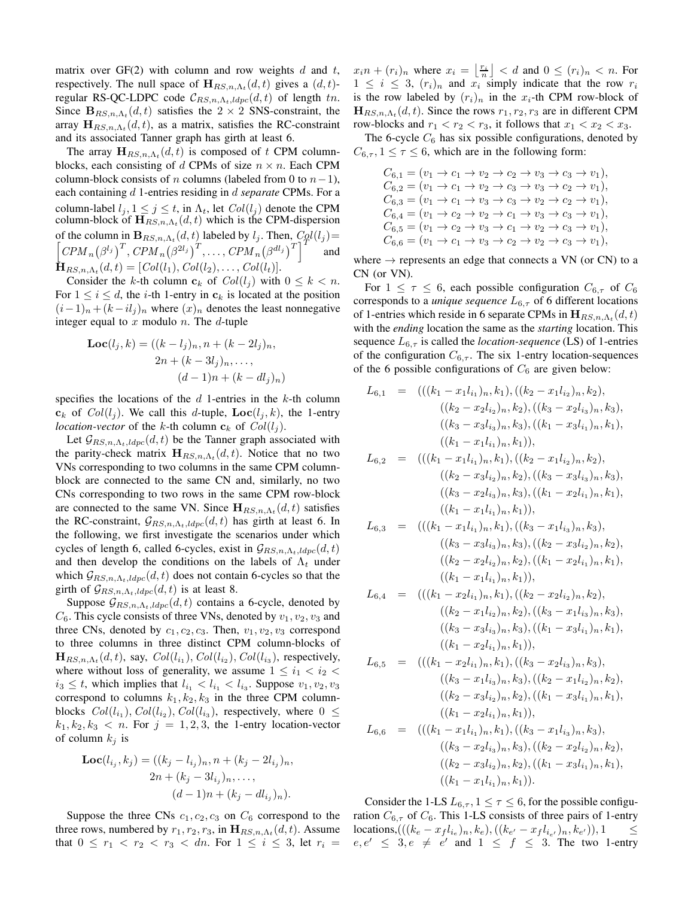matrix over  $GF(2)$  with column and row weights d and t, respectively. The null space of  $\mathbf{H}_{RS,n,\Lambda_t}(d,t)$  gives a  $(d,t)$ regular RS-QC-LDPC code  $\mathcal{C}_{RS,n,\Lambda_t,ldpc}(d,t)$  of length tn. Since  $\mathbf{B}_{RS,n,\Lambda_t}(d,t)$  satisfies the  $2 \times 2$  SNS-constraint, the array  $\mathbf{H}_{RS,n,\Lambda_t}(d,t)$ , as a matrix, satisfies the RC-constraint and its associated Tanner graph has girth at least 6.

The array  $\mathbf{H}_{RS,n,\Lambda_t}(d,t)$  is composed of t CPM columnblocks, each consisting of d CPMs of size  $n \times n$ . Each CPM column-block consists of *n* columns (labeled from 0 to  $n-1$ ), each containing d 1-entries residing in d *separate* CPMs. For a column-label  $l_i$ ,  $1 \leq j \leq t$ , in  $\Lambda_t$ , let  $Col(l_i)$  denote the CPM column-block of  $\mathbf{H}_{RS,n,\Lambda_t}(d,t)$  which is the CPM-dispersion of the column in  $\mathbf{B}_{RS,n,\Lambda_t}(d,t)$  labeled by  $l_j$ . Then,  $C_0l(l_j) =$ <br> $\begin{bmatrix} CPM_{-}(8^{l_j})^T & CPM_{-}(8^{2l_j})^T & CPM_{-}(8^{d_l})^T \end{bmatrix}^T$  and  $\left[CPM_n(\beta^{l_j})^T, \left\langle CPM_n(\beta^{2l_j})^T, \ldots, \left\langle CPM_n(\beta^{dl_j})^T\right\rangle\right]^T\right]$  and  $\mathbf{\dot{H}}_{RS,n,\Lambda_t}(d,t) = [Col(l_1), Col(l_2), \ldots, Col(l_t)].$ 

Consider the k-th column  $c_k$  of  $Col(l_i)$  with  $0 \leq k < n$ . For  $1 \leq i \leq d$ , the *i*-th 1-entry in  $c_k$  is located at the position  $(i-1)<sub>n</sub> + (k-i l<sub>j</sub>)<sub>n</sub>$  where  $(x)<sub>n</sub>$  denotes the least nonnegative integer equal to  $x$  modulo  $n$ . The  $d$ -tuple

$$
\mathbf{Loc}(l_j, k) = ((k - l_j)_n, n + (k - 2l_j)_n, 2n + (k - 3l_j)_n, ..., (d - 1)n + (k - dl_j)_n)
$$

specifies the locations of the  $d$  1-entries in the  $k$ -th column  $c_k$  of  $Col(l_i)$ . We call this d-tuple,  $Loc(l_i, k)$ , the 1-entry *location-vector* of the k-th column  $c_k$  of  $Col(l_i)$ .

Let  $G_{RS,n,\Lambda_t,ldpc}(d,t)$  be the Tanner graph associated with the parity-check matrix  $\mathbf{H}_{RS,n,\Lambda_t}(d,t)$ . Notice that no two VNs corresponding to two columns in the same CPM columnblock are connected to the same CN and, similarly, no two CNs corresponding to two rows in the same CPM row-block are connected to the same VN. Since  $\mathbf{H}_{RS,n,\Lambda_t}(d,t)$  satisfies the RC-constraint,  $G_{RS,n,\Lambda_t,ldpc}(d,t)$  has girth at least 6. In the following, we first investigate the scenarios under which cycles of length 6, called 6-cycles, exist in  $\mathcal{G}_{RS,n,\Lambda_t,ldpc}(d,t)$ and then develop the conditions on the labels of  $\Lambda_t$  under which  $\mathcal{G}_{RS,n,\Lambda_t,ldpc}(d, t)$  does not contain 6-cycles so that the girth of  $\mathcal{G}_{RS,n,\Lambda_t,ldpc}(d,t)$  is at least 8.

Suppose  $\mathcal{G}_{RS,n,\Lambda_t,ldpc}(d,t)$  contains a 6-cycle, denoted by  $C_6$ . This cycle consists of three VNs, denoted by  $v_1, v_2, v_3$  and three CNs, denoted by  $c_1, c_2, c_3$ . Then,  $v_1, v_2, v_3$  correspond to three columns in three distinct CPM column-blocks of  $\mathbf{H}_{RS,n,\Lambda_t}(d,t)$ , say,  $Col(l_{i_1}), Col(l_{i_2}), Col(l_{i_3}),$  respectively, where without loss of generality, we assume  $1 \leq i_1 < i_2$  $i_3 \leq t$ , which implies that  $l_{i_1} < l_{i_1} < l_{i_3}$ . Suppose  $v_1, v_2, v_3$ correspond to columns  $k_1, k_2, k_3$  in the three CPM columnblocks  $Col(l_{i_1}), Col(l_{i_2}), Col(l_{i_3}),$  respectively, where  $0 \leq$  $k_1, k_2, k_3 < n$ . For  $j = 1, 2, 3$ , the 1-entry location-vector of column  $k_i$  is

$$
\begin{aligned} \mathbf{Loc}(l_{i_j}, k_j) &= ((k_j - l_{i_j})_n, n + (k_j - 2l_{i_j})_n, \\ &2n + (k_j - 3l_{i_j})_n, \dots, \\ &(d-1)n + (k_j - dl_{i_j})_n). \end{aligned}
$$

Suppose the three CNs  $c_1, c_2, c_3$  on  $C_6$  correspond to the three rows, numbered by  $r_1, r_2, r_3$ , in  $\mathbf{H}_{RS,n,\Lambda_t}(d,t)$ . Assume that  $0 \le r_1 < r_2 < r_3 < dn$ . For  $1 \le i \le 3$ , let  $r_i =$ 

 $x_i n + (r_i)_n$  where  $x_i = \left\lfloor \frac{r_i}{n} \right\rfloor < d$  and  $0 \le (r_i)_n < n$ . For  $1 \leq i \leq 3$ ,  $(r_i)_n$  and  $x_i$  simply indicate that the row  $r_i$ is the row labeled by  $(r_i)_n$  in the  $x_i$ -th CPM row-block of  $\mathbf{H}_{RS,n,\Lambda_t}(d,t)$ . Since the rows  $r_1, r_2, r_3$  are in different CPM row-blocks and  $r_1 < r_2 < r_3$ , it follows that  $x_1 < x_2 < x_3$ .

The 6-cycle  $C_6$  has six possible configurations, denoted by  $C_{6,\tau}$ ,  $1 \leq \tau \leq 6$ , which are in the following form:

> $C_{6,1} = (v_1 \to c_1 \to v_2 \to c_2 \to v_3 \to c_3 \to v_1),$  $C_{6,2} = (v_1 \to c_1 \to v_2 \to c_3 \to v_3 \to c_2 \to v_1),$  $C_{6,3} = (v_1 \to c_1 \to v_3 \to c_3 \to v_2 \to c_2 \to v_1),$  $C_{6,4} = (v_1 \to c_2 \to v_2 \to c_1 \to v_3 \to c_3 \to v_1),$  $C_{6,5} = (v_1 \to c_2 \to v_3 \to c_1 \to v_2 \to c_3 \to v_1),$  $C_{6,6} = (v_1 \rightarrow c_1 \rightarrow v_3 \rightarrow c_2 \rightarrow v_2 \rightarrow c_3 \rightarrow v_1),$

where  $\rightarrow$  represents an edge that connects a VN (or CN) to a CN (or VN).

For  $1 \leq \tau \leq 6$ , each possible configuration  $C_{6,\tau}$  of  $C_6$ corresponds to a *unique sequence*  $L_{6,\tau}$  of 6 different locations of 1-entries which reside in 6 separate CPMs in  $\mathbf{H}_{RS,n,\Lambda_t}(d,t)$ with the *ending* location the same as the *starting* location. This sequence  $L_{6,\tau}$  is called the *location-sequence* (LS) of 1-entries of the configuration  $C_{6,\tau}$ . The six 1-entry location-sequences of the 6 possible configurations of  $C_6$  are given below:

$$
L_{6,1} = (((k_{1} - x_{1}l_{i_{1}})_{n}, k_{1}), ((k_{2} - x_{1}l_{i_{2}})_{n}, k_{2}), ((k_{3} - x_{2}l_{i_{3}})_{n}, k_{3}), ((k_{4} - x_{2}l_{i_{3}})_{n}, k_{3}), ((k_{5} - x_{2}l_{i_{3}})_{n}, k_{3}), ((k_{1} - x_{3}l_{i_{1}})_{n}, k_{1}), ((k_{1} - x_{1}l_{i_{1}})_{n}, k_{1})),
$$
  
\n
$$
L_{6,2} = (((k_{1} - x_{1}l_{i_{1}})_{n}, k_{1}), ((k_{2} - x_{1}l_{i_{2}})_{n}, k_{2}), ((k_{3} - x_{3}l_{i_{3}})_{n}, k_{3}), ((k_{2} - x_{2}l_{i_{3}})_{n}, k_{3}), ((k_{3} - x_{2}l_{i_{3}})_{n}, k_{3}), ((k_{4} - x_{2}l_{i_{1}})_{n}, k_{1}), ((k_{5} - x_{1}l_{i_{1}})_{n}, k_{1})),
$$
  
\n
$$
L_{6,3} = (((k_{1} - x_{1}l_{i_{1}})_{n}, k_{1}), ((k_{3} - x_{1}l_{i_{3}})_{n}, k_{3}), ((k_{2} - x_{3}l_{i_{2}})_{n}, k_{2}), ((k_{1} - x_{2}l_{i_{1}})_{n}, k_{1}), ((k_{1} - x_{2}l_{i_{1}})_{n}, k_{1}), ((k_{1} - x_{2}l_{i_{1}})_{n}, k_{1})),
$$
  
\n
$$
L_{6,4} = (((k_{1} - x_{2}l_{i_{1}})_{n}, k_{1}), ((k_{2} - x_{2}l_{i_{2}})_{n}, k_{2}), ((k_{4} - x_{1}l_{i_{3}})_{n}, k_{3}), ((k_{4} - x_{3}l_{i_{3}})_{n}, k_{3}), ((k_{4} - x_{2}l_{i_{4}})_{n}, k_{1}), ((k_{5} - x_{1}l_{i_{3}})_{n}, k_{3}), ((k_{6} - x_{1}l_{i_{3}})_{n}, k_{3}), ((k_{7} - x_{3}l_{i_{1}})_{n}, k_{1}), ((k_{7} - x_{2}l_{i_{1}})_{n},
$$

Consider the 1-LS  $L_{6,\tau}$ ,  $1 \leq \tau \leq 6$ , for the possible configuration  $C_{6,\tau}$  of  $C_6$ . This 1-LS consists of three pairs of 1-entry locations,((( $(k_e - x_f l_{i_e})_n, k_e$ ), (( $k_{e'} - x_f l_{i_{e'}}$ )<sub>n</sub>,  $k_{e'}$ )), 1 ≤  $e, e' \leq 3, e \neq e'$  and  $1 \leq f \leq 3$ . The two 1-entry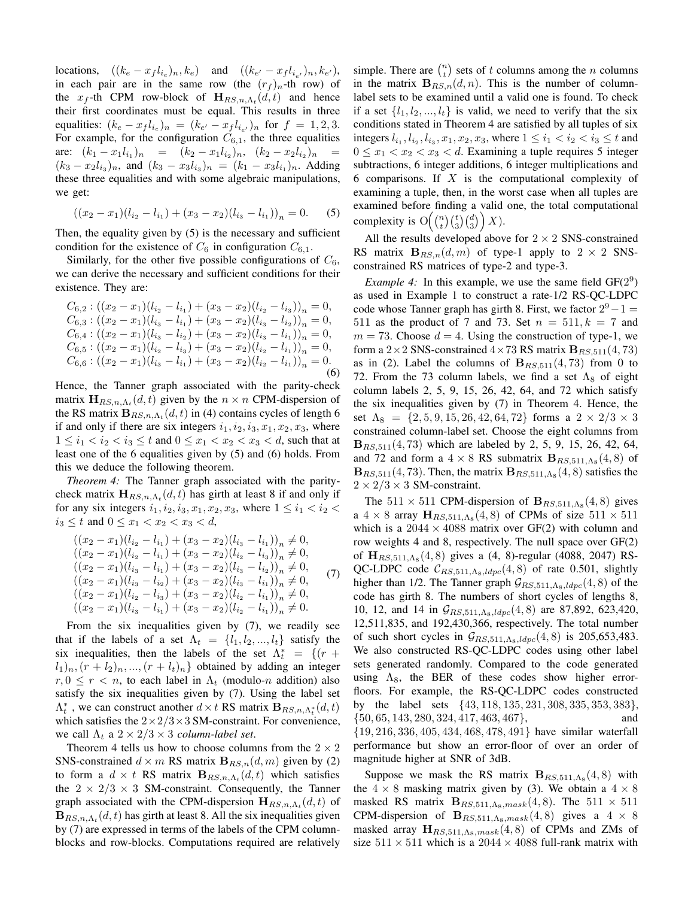locations,  $((k_e - x_f l_{i_e})_n, k_e)$  and  $((k_{e'} - x_f l_{i_{e'}})_n, k_{e'}),$ in each pair are in the same row (the  $(r_f)_n$ -th row) of the  $x_f$ -th CPM row-block of  $\mathbf{H}_{RS,n,\Lambda_t}(d,t)$  and hence their first coordinates must be equal. This results in three equalities:  $(k_e - x_f l_{i_e})_n = (k_{e'} - x_f l_{i_{e'}})_n$  for  $f = 1, 2, 3$ . For example, for the configuration  $C_{6,1}$ , the three equalities are:  $(k_1 - x_1 l_{i_1})_n = (k_2 - x_1 l_{i_2})_n, (k_2 - x_2 l_{i_2})_n =$  $(k_3 - x_2 l_{i_3})_n$ , and  $(k_3 - x_3 l_{i_3})_n = (k_1 - x_3 l_{i_1})_n$ . Adding these three equalities and with some algebraic manipulations, we get:

$$
((x_2 - x_1)(l_{i_2} - l_{i_1}) + (x_3 - x_2)(l_{i_3} - l_{i_1}))_n = 0.
$$
 (5)

Then, the equality given by (5) is the necessary and sufficient condition for the existence of  $C_6$  in configuration  $C_{6,1}$ .

Similarly, for the other five possible configurations of  $C_6$ , we can derive the necessary and sufficient conditions for their existence. They are:

$$
C_{6,2} : ((x_2 - x_1)(l_{i_2} - l_{i_1}) + (x_3 - x_2)(l_{i_2} - l_{i_3}))_n = 0,
$$
  
\n
$$
C_{6,3} : ((x_2 - x_1)(l_{i_3} - l_{i_1}) + (x_3 - x_2)(l_{i_3} - l_{i_2}))_n = 0,
$$
  
\n
$$
C_{6,4} : ((x_2 - x_1)(l_{i_3} - l_{i_2}) + (x_3 - x_2)(l_{i_3} - l_{i_1}))_n = 0,
$$
  
\n
$$
C_{6,5} : ((x_2 - x_1)(l_{i_2} - l_{i_3}) + (x_3 - x_2)(l_{i_2} - l_{i_1}))_n = 0,
$$
  
\n
$$
C_{6,6} : ((x_2 - x_1)(l_{i_3} - l_{i_1}) + (x_3 - x_2)(l_{i_2} - l_{i_1}))_n = 0.
$$
  
\n(6)

Hence, the Tanner graph associated with the parity-check matrix  $\mathbf{H}_{RS,n,\Lambda_t}(d,t)$  given by the  $n \times n$  CPM-dispersion of the RS matrix  $B_{RS,n,\Lambda_t}(d,t)$  in (4) contains cycles of length 6 if and only if there are six integers  $i_1, i_2, i_3, x_1, x_2, x_3$ , where  $1 \le i_1 < i_2 < i_3 \le t$  and  $0 \le x_1 < x_2 < x_3 < d$ , such that at least one of the 6 equalities given by (5) and (6) holds. From this we deduce the following theorem.

*Theorem 4:* The Tanner graph associated with the paritycheck matrix  $\mathbf{H}_{RS,n,\Lambda_t}(d,t)$  has girth at least 8 if and only if for any six integers  $i_1$ ,  $i_2$ ,  $i_3$ ,  $x_1$ ,  $x_2$ ,  $x_3$ , where  $1 \le i_1 < i_2$  $i_3 \leq t$  and  $0 \leq x_1 < x_2 < x_3 < d$ ,

$$
((x_2 - x_1)(l_{i_2} - l_{i_1}) + (x_3 - x_2)(l_{i_3} - l_{i_1}))_n \neq 0,
$$
  
\n
$$
((x_2 - x_1)(l_{i_2} - l_{i_1}) + (x_3 - x_2)(l_{i_2} - l_{i_3}))_n \neq 0,
$$
  
\n
$$
((x_2 - x_1)(l_{i_3} - l_{i_1}) + (x_3 - x_2)(l_{i_3} - l_{i_2}))_n \neq 0,
$$
  
\n
$$
((x_2 - x_1)(l_{i_3} - l_{i_2}) + (x_3 - x_2)(l_{i_3} - l_{i_1}))_n \neq 0,
$$
  
\n
$$
((x_2 - x_1)(l_{i_2} - l_{i_3}) + (x_3 - x_2)(l_{i_2} - l_{i_1}))_n \neq 0,
$$
  
\n
$$
((x_2 - x_1)(l_{i_3} - l_{i_1}) + (x_3 - x_2)(l_{i_2} - l_{i_1}))_n \neq 0.
$$

From the six inequalities given by (7), we readily see that if the labels of a set  $\Lambda_t = \{l_1, l_2, ..., l_t\}$  satisfy the six inequalities, then the labels of the set  $\Lambda_t^* = \{ (r +$  $(l_1)_n,(r+l_2)_n,...,(r+l_t)_n\}$  obtained by adding an integer  $r, 0 \le r < n$ , to each label in  $\Lambda_t$  (modulo-*n* addition) also satisfy the six inequalities given by (7). Using the label set  $\Lambda_t^*$ , we can construct another  $d \times t$  RS matrix  $\mathbf{B}_{RS,n,\Lambda_t^*}(d,t)$ which satisfies the  $2 \times 2/3 \times 3$  SM-constraint. For convenience, we call  $\Lambda_t$  a  $2 \times 2/3 \times 3$  *column-label set.* 

Theorem 4 tells us how to choose columns from the  $2 \times 2$ SNS-constrained  $d \times m$  RS matrix  $B_{RS,n}(d, m)$  given by (2) to form a  $d \times t$  RS matrix  $\mathbf{B}_{RS,n,\Lambda_t}(d,t)$  which satisfies the  $2 \times 2/3 \times 3$  SM-constraint. Consequently, the Tanner graph associated with the CPM-dispersion  $\mathbf{H}_{RS,n,\Lambda_t}(d,t)$  of  ${\bf B}_{RS,n,\Lambda_t}(d,t)$  has girth at least 8. All the six inequalities given by (7) are expressed in terms of the labels of the CPM columnblocks and row-blocks. Computations required are relatively

simple. There are  $\binom{n}{t}$  sets of t columns among the n columns in the matrix  $\mathbf{B}_{RS,n}(d,n)$ . This is the number of columnlabel sets to be examined until a valid one is found. To check if a set  $\{l_1, l_2, ..., l_t\}$  is valid, we need to verify that the six conditions stated in Theorem 4 are satisfied by all tuples of six integers  $l_{i_1}, l_{i_2}, l_{i_3}, x_1, x_2, x_3$ , where  $1 \leq i_1 < i_2 < i_3 \leq t$  and  $0 \leq x_1 < x_2 < x_3 < d$ . Examining a tuple requires 5 integer subtractions, 6 integer additions, 6 integer multiplications and 6 comparisons. If  $X$  is the computational complexity of examining a tuple, then, in the worst case when all tuples are examined before finding a valid one, the total computational complexity is  $O((\binom{n}{t}(\binom{t}{3}(\binom{d}{3})X)).$ 

All the results developed above for  $2 \times 2$  SNS-constrained RS matrix  $B_{RS,n}(d,m)$  of type-1 apply to  $2 \times 2$  SNSconstrained RS matrices of type-2 and type-3.

*Example 4:* In this example, we use the same field  $GF(2^9)$ as used in Example 1 to construct a rate-1/2 RS-QC-LDPC code whose Tanner graph has girth 8. First, we factor  $2^9 - 1 =$ 511 as the product of 7 and 73. Set  $n = 511, k = 7$  and  $m = 73$ . Choose  $d = 4$ . Using the construction of type-1, we form a 2×2 SNS-constrained  $4\times73$  RS matrix  $\mathbf{B}_{RS,511}(4,73)$ as in (2). Label the columns of  $B_{RS,511}(4,73)$  from 0 to 72. From the 73 column labels, we find a set  $\Lambda_8$  of eight column labels 2, 5, 9, 15, 26, 42, 64, and 72 which satisfy the six inequalities given by (7) in Theorem 4. Hence, the set  $\Lambda_8 = \{2, 5, 9, 15, 26, 42, 64, 72\}$  forms a  $2 \times 2/3 \times 3$ constrained column-label set. Choose the eight columns from  $B_{RS, 511}(4, 73)$  which are labeled by 2, 5, 9, 15, 26, 42, 64, and 72 and form a  $4 \times 8$  RS submatrix  $\mathbf{B}_{RS,511,\Lambda_8}(4,8)$  of  ${\bf B}_{RS,511}(4,73)$ . Then, the matrix  ${\bf B}_{RS,511, \Lambda_8}(4,8)$  satisfies the  $2 \times 2/3 \times 3$  SM-constraint.

The  $511 \times 511$  CPM-dispersion of  $\mathbf{B}_{RS,511,\Lambda_8}(4,8)$  gives a  $4 \times 8$  array  $\mathbf{H}_{RS,511,\Lambda_8}(4,8)$  of CPMs of size  $511 \times 511$ which is a  $2044 \times 4088$  matrix over GF(2) with column and row weights 4 and 8, respectively. The null space over GF(2) of  $H_{RS,511, \Lambda_8}(4,8)$  gives a (4, 8)-regular (4088, 2047) RS-QC-LDPC code  $\mathcal{C}_{RS,511,\Lambda_8,ldpc}(4,8)$  of rate 0.501, slightly higher than 1/2. The Tanner graph  $\mathcal{G}_{RS,511,\Lambda_8,ldpc}(4,8)$  of the code has girth 8. The numbers of short cycles of lengths 8, 10, 12, and 14 in  $G_{RS,511, \Lambda_8, ldpc}(4,8)$  are 87,892, 623,420, 12,511,835, and 192,430,366, respectively. The total number of such short cycles in  $\mathcal{G}_{RS,511,\Lambda_8,ldpc}(4,8)$  is 205,653,483. We also constructed RS-QC-LDPC codes using other label sets generated randomly. Compared to the code generated using  $\Lambda_8$ , the BER of these codes show higher errorfloors. For example, the RS-QC-LDPC codes constructed by the label sets {43, 118, 135, 231, 308, 335, 353, 383},  $\{50, 65, 143, 280, 324, 417, 463, 467\},$  and {19, 216, 336, 405, 434, 468, 478, 491} have similar waterfall performance but show an error-floor of over an order of magnitude higher at SNR of 3dB.

Suppose we mask the RS matrix  $B_{RS,511,\Lambda_8}(4,8)$  with the  $4 \times 8$  masking matrix given by (3). We obtain a  $4 \times 8$ masked RS matrix  $B_{RS,511,\Lambda_8,mask}(4,8)$ . The 511  $\times$  511 CPM-dispersion of  $B_{RS,511,\Lambda_8,mask}(4,8)$  gives a  $4 \times 8$ masked array  $H_{RS,511,\Lambda_8,mask}(4,8)$  of CPMs and ZMs of size  $511 \times 511$  which is a  $2044 \times 4088$  full-rank matrix with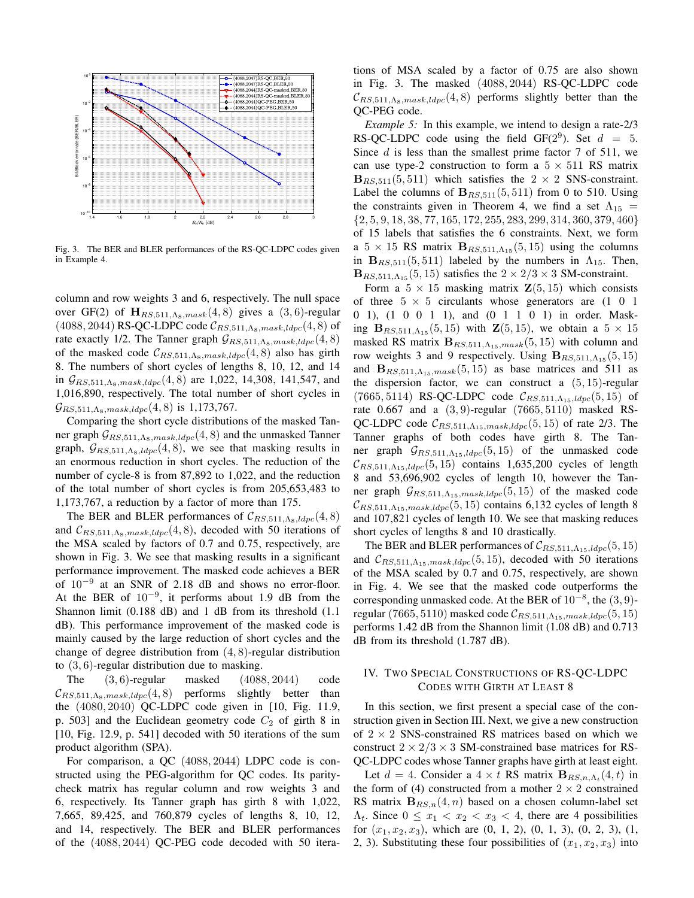

Fig. 3. The BER and BLER performances of the RS-QC-LDPC codes given in Example 4.

column and row weights 3 and 6, respectively. The null space over GF(2) of  $\mathbf{H}_{RS,511,\Lambda_8,mask}(4,8)$  gives a  $(3,6)$ -regular  $(4088, 2044)$  RS-QC-LDPC code  $\mathcal{C}_{RS,511,\Lambda_8,mask,ldpc}(4,8)$  of rate exactly 1/2. The Tanner graph  $\mathcal{G}_{RS,511,\Lambda_8,mask,ldpc}(4,8)$ of the masked code  $\mathcal{C}_{RS,511,\Lambda_8,mask,ldpc}(4,8)$  also has girth 8. The numbers of short cycles of lengths 8, 10, 12, and 14 in  $\mathcal{G}_{RS,511, \Lambda_8, mask, ldpc}(4, 8)$  are 1,022, 14,308, 141,547, and 1,016,890, respectively. The total number of short cycles in  $\mathcal{G}_{RS,511, \Lambda_8, mask, ldpc}(4, 8)$  is 1,173,767.

Comparing the short cycle distributions of the masked Tanner graph  $G_{RS,511,\Lambda_8,mask,ldpc}(4,8)$  and the unmasked Tanner graph,  $\mathcal{G}_{RS,511,\Lambda_8,ldpc}(4,8)$ , we see that masking results in an enormous reduction in short cycles. The reduction of the number of cycle-8 is from 87,892 to 1,022, and the reduction of the total number of short cycles is from 205,653,483 to 1,173,767, a reduction by a factor of more than 175.

The BER and BLER performances of  $\mathcal{C}_{RS,511,\Lambda_8,ldpc}(4,8)$ and  $\mathcal{C}_{RS,511,\Lambda_8,mask,ldpc}(4,8)$ , decoded with 50 iterations of the MSA scaled by factors of 0.7 and 0.75, respectively, are shown in Fig. 3. We see that masking results in a significant performance improvement. The masked code achieves a BER of  $10^{-9}$  at an SNR of 2.18 dB and shows no error-floor. At the BER of  $10^{-9}$ , it performs about 1.9 dB from the Shannon limit (0.188 dB) and 1 dB from its threshold (1.1 dB). This performance improvement of the masked code is mainly caused by the large reduction of short cycles and the change of degree distribution from  $(4, 8)$ -regular distribution to (3, 6)-regular distribution due to masking.

The (3, 6)-regular masked (4088, 2044) code  $\mathcal{C}_{RS,511,\Lambda_8,mask,ldnc}(4,8)$  performs slightly better than the (4080, 2040) QC-LDPC code given in [10, Fig. 11.9, p. 503] and the Euclidean geometry code  $C_2$  of girth 8 in [10, Fig. 12.9, p. 541] decoded with 50 iterations of the sum product algorithm (SPA).

For comparison, a QC (4088, 2044) LDPC code is constructed using the PEG-algorithm for QC codes. Its paritycheck matrix has regular column and row weights 3 and 6, respectively. Its Tanner graph has girth 8 with 1,022, 7,665, 89,425, and 760,879 cycles of lengths 8, 10, 12, and 14, respectively. The BER and BLER performances of the (4088, 2044) QC-PEG code decoded with 50 iterations of MSA scaled by a factor of 0.75 are also shown in Fig. 3. The masked (4088, 2044) RS-QC-LDPC code  $\mathcal{C}_{RS,511,\Lambda_8,mask,ldpc}(4,8)$  performs slightly better than the QC-PEG code.

*Example 5:* In this example, we intend to design a rate-2/3 RS-QC-LDPC code using the field GF( $2^9$ ). Set  $d = 5$ . Since  $d$  is less than the smallest prime factor 7 of 511, we can use type-2 construction to form a  $5 \times 511$  RS matrix  $B_{RS, 511}(5, 511)$  which satisfies the  $2 \times 2$  SNS-constraint. Label the columns of  $B_{RS,511}(5,511)$  from 0 to 510. Using the constraints given in Theorem 4, we find a set  $\Lambda_{15}$  = {2, 5, 9, 18, 38, 77, 165, 172, 255, 283, 299, 314, 360, 379, 460} of 15 labels that satisfies the 6 constraints. Next, we form a  $5 \times 15$  RS matrix  $B_{RS,511,\Lambda_{15}}(5,15)$  using the columns in  $B_{RS, 511}(5, 511)$  labeled by the numbers in  $\Lambda_{15}$ . Then,  **satisfies the**  $2 \times 2/3 \times 3$  **SM-constraint.** 

Form a  $5 \times 15$  masking matrix  $\mathbf{Z}(5, 15)$  which consists of three  $5 \times 5$  circulants whose generators are  $(1\ 0\ 1)$ 0 1), (1 0 0 1 1), and (0 1 1 0 1) in order. Masking  $B_{RS,511, \Lambda_{15}}(5, 15)$  with  $\mathbb{Z}(5, 15)$ , we obtain a  $5 \times 15$ masked RS matrix  $B_{RS,511,\Lambda_{15},mask}(5,15)$  with column and row weights 3 and 9 respectively. Using  $B_{RS,511,\Lambda_{15}}(5,15)$ and  $B_{RS,511,\Lambda_{15},mask}(5,15)$  as base matrices and 511 as the dispersion factor, we can construct a  $(5, 15)$ -regular (7665, 5114) RS-QC-LDPC code  $C_{RS, 511, \Lambda_{15}, ldpc}(5, 15)$  of rate 0.667 and a (3, 9)-regular (7665, 5110) masked RS-QC-LDPC code  $\mathcal{C}_{RS,511,\Lambda_{15},mask,ldpc}(5, 15)$  of rate 2/3. The Tanner graphs of both codes have girth 8. The Tanner graph  $G_{RS,511,\Lambda_{15},ldpc}(5,15)$  of the unmasked code  $\mathcal{C}_{RS,511,\Lambda_{15},l dpc}(5,15)$  contains 1,635,200 cycles of length 8 and 53,696,902 cycles of length 10, however the Tanner graph  $\mathcal{G}_{RS,511,\Lambda_{15},mask,ldpc}(5,15)$  of the masked code  $\mathcal{C}_{RS,511,\Lambda_{15},mask,ldpc}(5,15)$  contains 6,132 cycles of length 8 and 107,821 cycles of length 10. We see that masking reduces short cycles of lengths 8 and 10 drastically.

The BER and BLER performances of  $\mathcal{C}_{RS,511,\Lambda_{15},ldpc}(5,15)$ and  $C_{RS,511, \Lambda_{15},mask, ldpc}(5, 15)$ , decoded with 50 iterations of the MSA scaled by 0.7 and 0.75, respectively, are shown in Fig. 4. We see that the masked code outperforms the corresponding unmasked code. At the BER of  $10^{-8}$ , the  $(3, 9)$ regular (7665, 5110) masked code  $\mathcal{C}_{RS,511,\Lambda_{15},mask, ldpc}(5,15)$ performs 1.42 dB from the Shannon limit (1.08 dB) and 0.713 dB from its threshold (1.787 dB).

## IV. TWO SPECIAL CONSTRUCTIONS OF RS-QC-LDPC CODES WITH GIRTH AT LEAST 8

In this section, we first present a special case of the construction given in Section III. Next, we give a new construction of  $2 \times 2$  SNS-constrained RS matrices based on which we construct  $2 \times 2/3 \times 3$  SM-constrained base matrices for RS-QC-LDPC codes whose Tanner graphs have girth at least eight.

Let  $d = 4$ . Consider a  $4 \times t$  RS matrix  $B_{RS,n,\Lambda_t}(4,t)$  in the form of (4) constructed from a mother  $2 \times 2$  constrained RS matrix  $B_{RS,n}(4, n)$  based on a chosen column-label set  $\Lambda_t$ . Since  $0 \leq x_1 < x_2 < x_3 < 4$ , there are 4 possibilities for  $(x_1, x_2, x_3)$ , which are  $(0, 1, 2)$ ,  $(0, 1, 3)$ ,  $(0, 2, 3)$ ,  $(1, 1)$ 2, 3). Substituting these four possibilities of  $(x_1, x_2, x_3)$  into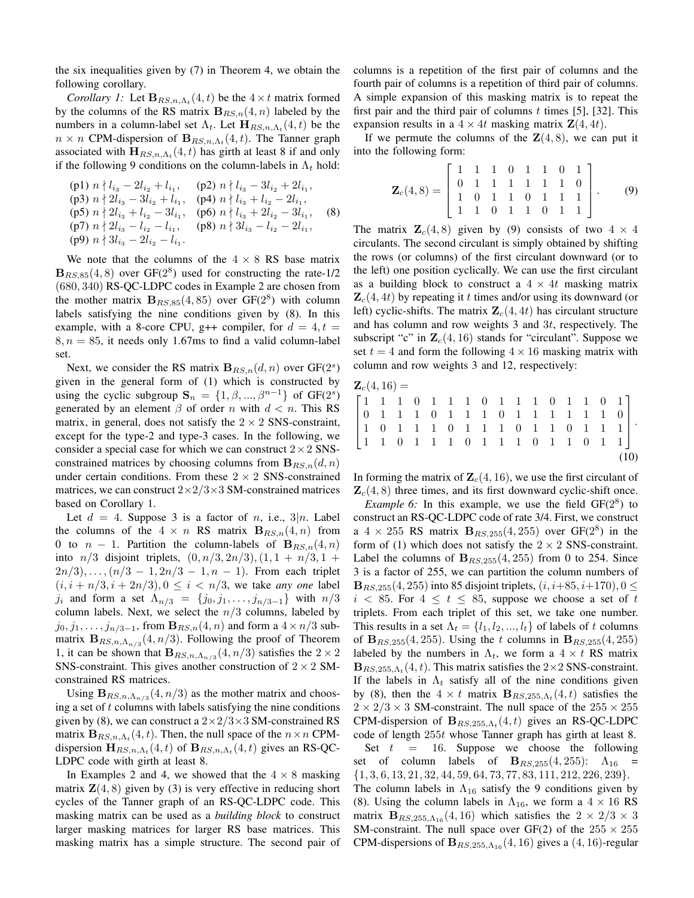the six inequalities given by (7) in Theorem 4, we obtain the following corollary.

*Corollary 1:* Let  $\mathbf{B}_{RS,n,\Lambda_t}(4,t)$  be the  $4 \times t$  matrix formed by the columns of the RS matrix  $B_{RS,n}(4, n)$  labeled by the numbers in a column-label set  $\Lambda_t$ . Let  $\mathbf{H}_{RS,n,\Lambda_t}(4,t)$  be the  $n \times n$  CPM-dispersion of  $\mathbf{B}_{RS,n,\Lambda_t}(4,t)$ . The Tanner graph associated with  $\mathbf{H}_{RS,n,\Lambda_t}(4,t)$  has girth at least 8 if and only if the following 9 conditions on the column-labels in  $\Lambda_t$  hold:

(p1) 
$$
n \nmid l_{i_3} - 2l_{i_2} + l_{i_1}
$$
, (p2)  $n \nmid l_{i_3} - 3l_{i_2} + 2l_{i_1}$ ,  
\n(p3)  $n \nmid 2l_{i_3} - 3l_{i_2} + l_{i_1}$ , (p4)  $n \nmid l_{i_3} + l_{i_2} - 2l_{i_1}$ ,  
\n(p5)  $n \nmid 2l_{i_3} + l_{i_2} - 3l_{i_1}$ , (p6)  $n \nmid l_{i_3} + 2l_{i_2} - 3l_{i_1}$ ,  
\n(p7)  $n \nmid 2l_{i_3} - l_{i_2} - l_{i_1}$ , (p8)  $n \nmid 3l_{i_3} - l_{i_2} - 2l_{i_1}$ ,  
\n(p9)  $n \nmid 3l_{i_3} - 2l_{i_2} - l_{i_1}$ .

We note that the columns of the  $4 \times 8$  RS base matrix  $B_{RS,85}(4,8)$  over  $GF(2<sup>8</sup>)$  used for constructing the rate-1/2 (680, 340) RS-QC-LDPC codes in Example 2 are chosen from the mother matrix  $B_{RS,85}(4, 85)$  over  $GF(2<sup>8</sup>)$  with column labels satisfying the nine conditions given by (8). In this example, with a 8-core CPU, g++ compiler, for  $d = 4, t =$  $8, n = 85$ , it needs only 1.67ms to find a valid column-label set.

Next, we consider the RS matrix  $B_{RS,n}(d,n)$  over  $GF(2<sup>s</sup>)$ given in the general form of (1) which is constructed by using the cyclic subgroup  $S_n = \{1, \beta, ..., \beta^{n-1}\}\$  of  $GF(2^s)$ generated by an element  $\beta$  of order n with  $d < n$ . This RS matrix, in general, does not satisfy the  $2 \times 2$  SNS-constraint, except for the type-2 and type-3 cases. In the following, we consider a special case for which we can construct  $2 \times 2$  SNSconstrained matrices by choosing columns from  $B_{RS,n}(d, n)$ under certain conditions. From these  $2 \times 2$  SNS-constrained matrices, we can construct  $2\times2/3\times3$  SM-constrained matrices based on Corollary 1.

Let  $d = 4$ . Suppose 3 is a factor of n, i.e., 3|n. Label the columns of the  $4 \times n$  RS matrix  $B_{RS,n}(4, n)$  from 0 to  $n-1$ . Partition the column-labels of  $B_{RS,n}(4,n)$ into  $n/3$  disjoint triplets,  $(0, n/3, 2n/3), (1, 1 + n/3, 1 +$  $2n/3$ , ...,  $(n/3 - 1, 2n/3 - 1, n - 1)$ . From each triplet  $(i, i + n/3, i + 2n/3), 0 \le i < n/3$ , we take *any one* label  $j_i$  and form a set  $\Lambda_{n/3} = \{j_0, j_1, \ldots, j_{n/3-1}\}\$  with  $n/3$ column labels. Next, we select the  $n/3$  columns, labeled by  $j_0, j_1, \ldots, j_{n/3-1}$ , from  $\mathbf{B}_{RS,n}(4,n)$  and form a  $4 \times n/3$  submatrix  $\mathbf{B}_{RS,n,\Lambda_{n/3}}(4,n/3)$ . Following the proof of Theorem 1, it can be shown that  $B_{RS,n,\Lambda_{n/3}}(4,n/3)$  satisfies the  $2 \times 2$ SNS-constraint. This gives another construction of  $2 \times 2$  SMconstrained RS matrices.

Using  $\mathbf{B}_{RS,n,\Lambda_{n/3}}(4,n/3)$  as the mother matrix and choosing a set of  $t$  columns with labels satisfying the nine conditions given by (8), we can construct a  $2\times2/3\times3$  SM-constrained RS matrix  $\mathbf{B}_{RS,n,\Lambda_t}(4,t)$ . Then, the null space of the  $n \times n$  CPMdispersion  $\mathbf{H}_{RS,n,\Lambda_t}(4,t)$  of  $\mathbf{B}_{RS,n,\Lambda_t}(4,t)$  gives an RS-QC-LDPC code with girth at least 8.

In Examples 2 and 4, we showed that the  $4 \times 8$  masking matrix  $\mathbf{Z}(4,8)$  given by (3) is very effective in reducing short cycles of the Tanner graph of an RS-QC-LDPC code. This masking matrix can be used as a *building block* to construct larger masking matrices for larger RS base matrices. This masking matrix has a simple structure. The second pair of columns is a repetition of the first pair of columns and the fourth pair of columns is a repetition of third pair of columns. A simple expansion of this masking matrix is to repeat the first pair and the third pair of columns  $t$  times [5], [32]. This expansion results in a  $4 \times 4t$  masking matrix  $\mathbf{Z}(4, 4t)$ .

If we permute the columns of the  $\mathbf{Z}(4,8)$ , we can put it into the following form:

$$
\mathbf{Z}_c(4,8) = \begin{bmatrix} 1 & 1 & 1 & 0 & 1 & 1 & 0 & 1 \\ 0 & 1 & 1 & 1 & 1 & 1 & 1 & 0 \\ 1 & 0 & 1 & 1 & 0 & 1 & 1 & 1 \\ 1 & 1 & 0 & 1 & 1 & 0 & 1 & 1 \end{bmatrix}.
$$
 (9)

The matrix  $\mathbf{Z}_c(4,8)$  given by (9) consists of two  $4 \times 4$ circulants. The second circulant is simply obtained by shifting the rows (or columns) of the first circulant downward (or to the left) one position cyclically. We can use the first circulant as a building block to construct a  $4 \times 4t$  masking matrix  $\mathbf{Z}_c(4, 4t)$  by repeating it t times and/or using its downward (or left) cyclic-shifts. The matrix  $\mathbf{Z}_c(4, 4t)$  has circulant structure and has column and row weights 3 and 3t, respectively. The subscript "c" in  $\mathbb{Z}_c(4, 16)$  stands for "circulant". Suppose we set  $t = 4$  and form the following  $4 \times 16$  masking matrix with column and row weights 3 and 12, respectively:

$$
\mathbf{Z}_c(4,16) = \begin{bmatrix} 1 & 1 & 1 & 0 & 1 & 1 & 1 & 0 & 1 & 1 & 1 & 0 & 1 & 1 & 0 & 1 \\ 0 & 1 & 1 & 1 & 0 & 1 & 1 & 1 & 0 & 1 & 1 & 1 & 1 & 1 & 1 & 0 \\ 1 & 0 & 1 & 1 & 1 & 0 & 1 & 1 & 1 & 0 & 1 & 1 & 1 & 1 & 1 \\ 1 & 1 & 0 & 1 & 1 & 1 & 0 & 1 & 1 & 1 & 0 & 1 & 1 & 1 \end{bmatrix}.
$$
\n(10)

In forming the matrix of  $\mathbf{Z}_c(4, 16)$ , we use the first circulant of  $\mathbf{Z}_c(4, 8)$  three times, and its first downward cyclic-shift once.

*Example 6:* In this example, we use the field  $GF(2^8)$  to construct an RS-QC-LDPC code of rate 3/4. First, we construct a  $4 \times 255$  RS matrix  $B_{RS,255}(4,255)$  over GF( $2^8$ ) in the form of (1) which does not satisfy the  $2 \times 2$  SNS-constraint. Label the columns of  $B_{RS,255}(4, 255)$  from 0 to 254. Since 3 is a factor of 255, we can partition the column numbers of  ${\bf B}_{RS,255}(4,255)$  into 85 disjoint triplets,  $(i, i+85, i+170)$ ,  $0 \leq$  $i < 85$ . For  $4 \le t \le 85$ , suppose we choose a set of t triplets. From each triplet of this set, we take one number. This results in a set  $\Lambda_t = \{l_1, l_2, ..., l_t\}$  of labels of t columns of  ${\bf B}_{RS,255}(4,255)$ . Using the t columns in  ${\bf B}_{RS,255}(4,255)$ labeled by the numbers in  $\Lambda_t$ , we form a  $4 \times t$  RS matrix  $\mathbf{B}_{RS,255,\Lambda_t}(4,t)$ . This matrix satisfies the 2×2 SNS-constraint. If the labels in  $\Lambda_t$  satisfy all of the nine conditions given by (8), then the  $4 \times t$  matrix  $\mathbf{B}_{RS,255,\Lambda_t}(4,t)$  satisfies the  $2 \times 2/3 \times 3$  SM-constraint. The null space of the  $255 \times 255$ CPM-dispersion of  $B_{RS,255,\Lambda_t}(4,t)$  gives an RS-QC-LDPC code of length 255t whose Tanner graph has girth at least 8.

Set  $t = 16$ . Suppose we choose the following set of column labels of  $\mathbf{B}_{RS,255}(4, 255)$ :  $\Lambda_{16}$  =  $\{1, 3, 6, 13, 21, 32, 44, 59, 64, 73, 77, 83, 111, 212, 226, 239\}.$ 

The column labels in  $\Lambda_{16}$  satisfy the 9 conditions given by (8). Using the column labels in  $\Lambda_{16}$ , we form a  $4 \times 16$  RS matrix  $\mathbf{B}_{RS,255,\Lambda_{16}}(4,16)$  which satisfies the  $2 \times 2/3 \times 3$ SM-constraint. The null space over GF(2) of the  $255 \times 255$ CPM-dispersions of  $\mathbf{B}_{RS,255,\Lambda_{16}}(4,16)$  gives a  $(4,16)$ -regular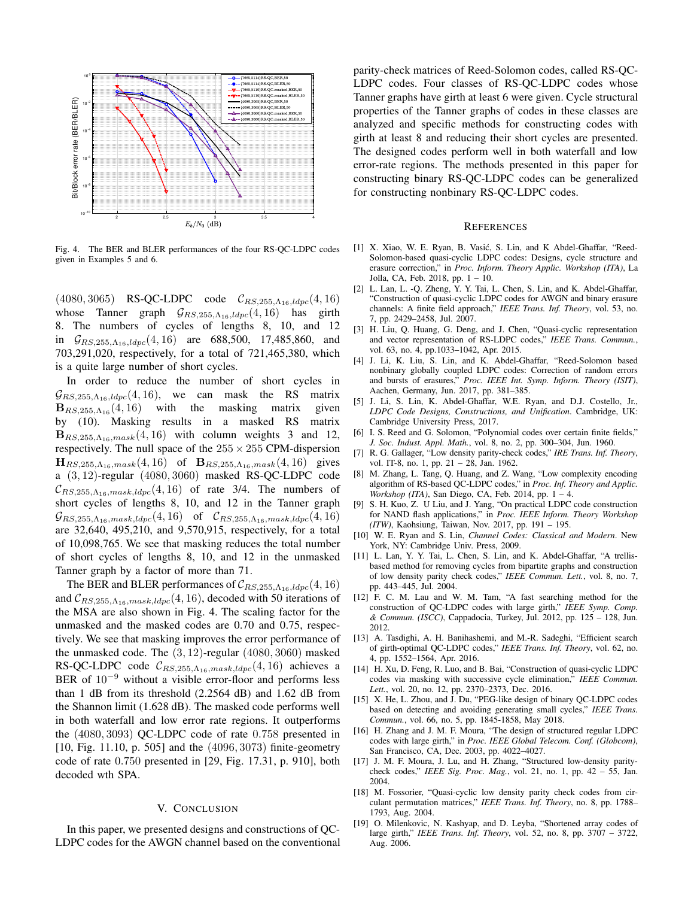

Fig. 4. The BER and BLER performances of the four RS-QC-LDPC codes given in Examples 5 and 6.

 $(4080, 3065)$  RS-QC-LDPC code  $C_{RS,255,\Lambda_{16},ldpc}(4,16)$ whose Tanner graph  $G_{RS,255,\Lambda_{16},ldpc}(4,16)$  has girth 8. The numbers of cycles of lengths 8, 10, and 12 in  $G_{RS,255,\Lambda_{16},ldpc}(4,16)$  are 688,500, 17,485,860, and 703,291,020, respectively, for a total of 721,465,380, which is a quite large number of short cycles.

In order to reduce the number of short cycles in  $\mathcal{G}_{RS,255,\Lambda_{16},dpc}(4,16)$ , we can mask the RS matrix  $B_{RS,255,\Lambda_{16}}(4,16)$  with the masking matrix given by (10). Masking results in a masked RS matrix  $\mathbf{B}_{RS,255,\Lambda_{16},mask}(4,16)$  with column weights 3 and 12, respectively. The null space of the  $255 \times 255$  CPM-dispersion  $H_{RS,255,\Lambda_{16},mask}(4,16)$  of  $B_{RS,255,\Lambda_{16},mask}(4,16)$  gives a (3, 12)-regular (4080, 3060) masked RS-QC-LDPC code  $\mathcal{C}_{RS,255,\Lambda_{16},mask,ldpc}(4,16)$  of rate 3/4. The numbers of short cycles of lengths 8, 10, and 12 in the Tanner graph  $\mathcal{G}_{RS,255,\Lambda_{16},mask,ldpc}(4,16)$  of  $\mathcal{C}_{RS,255,\Lambda_{16},mask,ldpc}(4,16)$ are 32,640, 495,210, and 9,570,915, respectively, for a total of 10,098,765. We see that masking reduces the total number of short cycles of lengths 8, 10, and 12 in the unmasked Tanner graph by a factor of more than 71.

The BER and BLER performances of  $\mathcal{C}_{RS,255,\Lambda_{16},ldpc}(4,16)$ and  $C_{RS,255,\Lambda_{16},mask,ldpc}(4,16)$ , decoded with 50 iterations of the MSA are also shown in Fig. 4. The scaling factor for the unmasked and the masked codes are 0.70 and 0.75, respectively. We see that masking improves the error performance of the unmasked code. The (3, 12)-regular (4080, 3060) masked RS-QC-LDPC code  $\mathcal{C}_{RS,255,\Lambda_{16},mask,ldpc}(4,16)$  achieves a BER of 10<sup>−</sup><sup>9</sup> without a visible error-floor and performs less than 1 dB from its threshold (2.2564 dB) and 1.62 dB from the Shannon limit (1.628 dB). The masked code performs well in both waterfall and low error rate regions. It outperforms the (4080, 3093) QC-LDPC code of rate 0.758 presented in [10, Fig. 11.10, p. 505] and the (4096, 3073) finite-geometry code of rate 0.750 presented in [29, Fig. 17.31, p. 910], both decoded wth SPA.

#### V. CONCLUSION

In this paper, we presented designs and constructions of QC-LDPC codes for the AWGN channel based on the conventional parity-check matrices of Reed-Solomon codes, called RS-QC-LDPC codes. Four classes of RS-QC-LDPC codes whose Tanner graphs have girth at least 6 were given. Cycle structural properties of the Tanner graphs of codes in these classes are analyzed and specific methods for constructing codes with girth at least 8 and reducing their short cycles are presented. The designed codes perform well in both waterfall and low error-rate regions. The methods presented in this paper for constructing binary RS-QC-LDPC codes can be generalized for constructing nonbinary RS-QC-LDPC codes.

#### **REFERENCES**

- [1] X. Xiao, W. E. Ryan, B. Vasić, S. Lin, and K Abdel-Ghaffar, "Reed-Solomon-based quasi-cyclic LDPC codes: Designs, cycle structure and erasure correction," in *Proc. Inform. Theory Applic. Workshop (ITA)*, La Jolla, CA, Feb. 2018, pp. 1 – 10.
- [2] L. Lan, L. -Q. Zheng, Y. Y. Tai, L. Chen, S. Lin, and K. Abdel-Ghaffar, "Construction of quasi-cyclic LDPC codes for AWGN and binary erasure channels: A finite field approach," *IEEE Trans. Inf. Theory*, vol. 53, no. 7, pp. 2429–2458, Jul. 2007.
- [3] H. Liu, Q. Huang, G. Deng, and J. Chen, "Quasi-cyclic representation and vector representation of RS-LDPC codes," *IEEE Trans. Commun.*, vol. 63, no. 4, pp.1033–1042, Apr. 2015.
- [4] J. Li, K. Liu, S. Lin, and K. Abdel-Ghaffar, "Reed-Solomon based nonbinary globally coupled LDPC codes: Correction of random errors and bursts of erasures," *Proc. IEEE Int. Symp. Inform. Theory (ISIT)*, Aachen, Germany, Jun. 2017, pp. 381–385.
- [5] J. Li, S. Lin, K. Abdel-Ghaffar, W.E. Ryan, and D.J. Costello, Jr., *LDPC Code Designs, Constructions, and Unification*. Cambridge, UK: Cambridge University Press, 2017.
- [6] I. S. Reed and G. Solomon, "Polynomial codes over certain finite fields," *J. Soc. Indust. Appl. Math.*, vol. 8, no. 2, pp. 300–304, Jun. 1960.
- [7] R. G. Gallager, "Low density parity-check codes," *IRE Trans. Inf. Theory*, vol. IT-8, no. 1, pp. 21 – 28, Jan. 1962.
- [8] M. Zhang, L. Tang, Q. Huang, and Z. Wang, "Low complexity encoding algorithm of RS-based QC-LDPC codes," in *Proc. Inf. Theory and Applic. Workshop (ITA)*, San Diego, CA, Feb. 2014, pp. 1 – 4.
- [9] S. H. Kuo, Z. U Liu, and J. Yang, "On practical LDPC code construction for NAND flash applications," in *Proc. IEEE Inform. Theory Workshop (ITW)*, Kaohsiung, Taiwan, Nov. 2017, pp. 191 – 195.
- [10] W. E. Ryan and S. Lin, *Channel Codes: Classical and Modern*. New York, NY: Cambridge Univ. Press, 2009.
- [11] L. Lan, Y. Y. Tai, L. Chen, S. Lin, and K. Abdel-Ghaffar, "A trellisbased method for removing cycles from bipartite graphs and construction of low density parity check codes," *IEEE Commun. Lett.*, vol. 8, no. 7, pp. 443–445, Jul. 2004.
- [12] F. C. M. Lau and W. M. Tam, "A fast searching method for the construction of QC-LDPC codes with large girth," *IEEE Symp. Comp. & Commun. (ISCC)*, Cappadocia, Turkey, Jul. 2012, pp. 125 – 128, Jun. 2012.
- [13] A. Tasdighi, A. H. Banihashemi, and M.-R. Sadeghi, "Efficient search of girth-optimal QC-LDPC codes," *IEEE Trans. Inf. Theory*, vol. 62, no. 4, pp. 1552–1564, Apr. 2016.
- [14] H. Xu, D. Feng, R. Luo, and B. Bai, "Construction of quasi-cyclic LDPC codes via masking with successive cycle elimination," *IEEE Commun. Lett.*, vol. 20, no. 12, pp. 2370–2373, Dec. 2016.
- [15] X. He, L. Zhou, and J. Du, "PEG-like design of binary QC-LDPC codes based on detecting and avoiding generating small cycles," *IEEE Trans. Commun.*, vol. 66, no. 5, pp. 1845-1858, May 2018.
- [16] H. Zhang and J. M. F. Moura, "The design of structured regular LDPC codes with large girth," in *Proc. IEEE Global Telecom. Conf. (Globcom)*, San Francisco, CA, Dec. 2003, pp. 4022–4027.
- [17] J. M. F. Moura, J. Lu, and H. Zhang, "Structured low-density paritycheck codes," *IEEE Sig. Proc. Mag.*, vol. 21, no. 1, pp. 42 – 55, Jan. 2004.
- [18] M. Fossorier, "Quasi-cyclic low density parity check codes from circulant permutation matrices," *IEEE Trans. Inf. Theory*, no. 8, pp. 1788– 1793, Aug. 2004.
- [19] O. Milenkovic, N. Kashyap, and D. Leyba, "Shortened array codes of large girth," *IEEE Trans. Inf. Theory*, vol. 52, no. 8, pp. 3707 – 3722, Aug. 2006.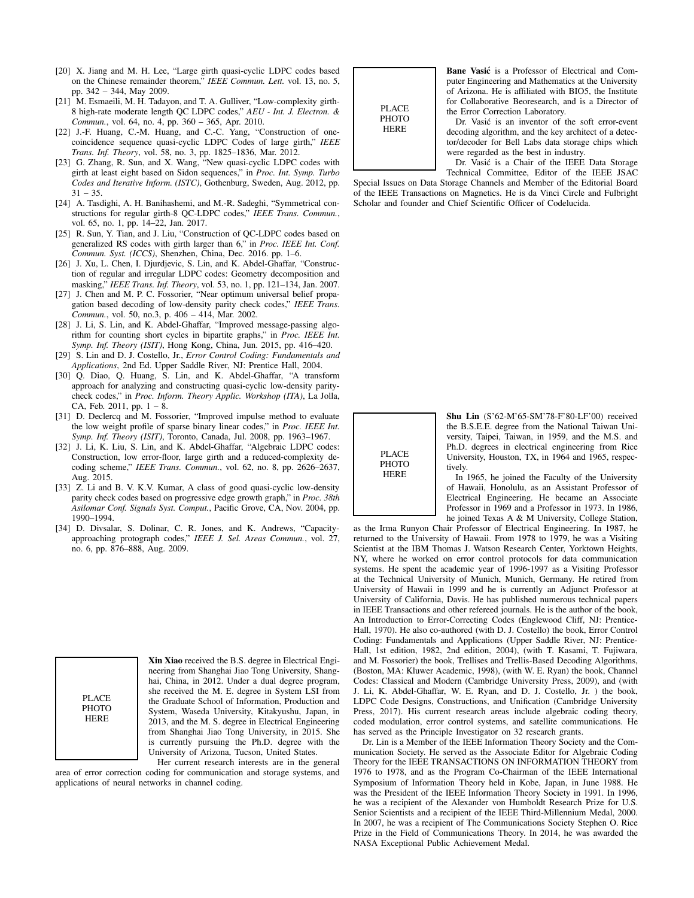- [20] X. Jiang and M. H. Lee, "Large girth quasi-cyclic LDPC codes based on the Chinese remainder theorem," *IEEE Commun. Lett.* vol. 13, no. 5, pp. 342 – 344, May 2009.
- [21] M. Esmaeili, M. H. Tadayon, and T. A. Gulliver, "Low-complexity girth-8 high-rate moderate length QC LDPC codes," *AEU - Int. J. Electron. & Commun.*, vol. 64, no. 4, pp. 360 – 365, Apr. 2010.
- [22] J.-F. Huang, C.-M. Huang, and C.-C. Yang, "Construction of onecoincidence sequence quasi-cyclic LDPC Codes of large girth," *IEEE Trans. Inf. Theory*, vol. 58, no. 3, pp. 1825–1836, Mar. 2012.
- [23] G. Zhang, R. Sun, and X. Wang, "New quasi-cyclic LDPC codes with girth at least eight based on Sidon sequences," in *Proc. Int. Symp. Turbo Codes and Iterative Inform. (ISTC)*, Gothenburg, Sweden, Aug. 2012, pp.  $31 - 35$ .
- [24] A. Tasdighi, A. H. Banihashemi, and M.-R. Sadeghi, "Symmetrical constructions for regular girth-8 QC-LDPC codes," *IEEE Trans. Commun.*, vol. 65, no. 1, pp. 14–22, Jan. 2017.
- [25] R. Sun, Y. Tian, and J. Liu, "Construction of QC-LDPC codes based on generalized RS codes with girth larger than 6," in *Proc. IEEE Int. Conf. Commun. Syst. (ICCS)*, Shenzhen, China, Dec. 2016. pp. 1–6.
- [26] J. Xu, L. Chen, I. Diurdievic, S. Lin, and K. Abdel-Ghaffar, "Construction of regular and irregular LDPC codes: Geometry decomposition and masking," *IEEE Trans. Inf. Theory*, vol. 53, no. 1, pp. 121–134, Jan. 2007.
- [27] J. Chen and M. P. C. Fossorier, "Near optimum universal belief propagation based decoding of low-density parity check codes," *IEEE Trans. Commun.*, vol. 50, no.3, p. 406 – 414, Mar. 2002.
- [28] J. Li, S. Lin, and K. Abdel-Ghaffar, "Improved message-passing algorithm for counting short cycles in bipartite graphs," in *Proc. IEEE Int. Symp. Inf. Theory (ISIT)*, Hong Kong, China, Jun. 2015, pp. 416–420.
- [29] S. Lin and D. J. Costello, Jr., *Error Control Coding: Fundamentals and Applications*, 2nd Ed. Upper Saddle River, NJ: Prentice Hall, 2004.
- [30] Q. Diao, Q. Huang, S. Lin, and K. Abdel-Ghaffar, "A transform approach for analyzing and constructing quasi-cyclic low-density paritycheck codes," in *Proc. Inform. Theory Applic. Workshop (ITA)*, La Jolla, CA, Feb. 2011, pp. 1 – 8.
- [31] D. Declercq and M. Fossorier, "Improved impulse method to evaluate the low weight profile of sparse binary linear codes," in *Proc. IEEE Int. Symp. Inf. Theory (ISIT)*, Toronto, Canada, Jul. 2008, pp. 1963–1967.
- [32] J. Li, K. Liu, S. Lin, and K. Abdel-Ghaffar, "Algebraic LDPC codes: Construction, low error-floor, large girth and a reduced-complexity decoding scheme," *IEEE Trans. Commun.*, vol. 62, no. 8, pp. 2626–2637, Aug. 2015.
- [33] Z. Li and B. V. K.V. Kumar, A class of good quasi-cyclic low-density parity check codes based on progressive edge growth graph," in *Proc. 38th Asilomar Conf. Signals Syst. Comput.*, Pacific Grove, CA, Nov. 2004, pp. 1990–1994.
- [34] D. Divsalar, S. Dolinar, C. R. Jones, and K. Andrews, "Capacityapproaching protograph codes," *IEEE J. Sel. Areas Commun.*, vol. 27, no. 6, pp. 876–888, Aug. 2009.

PLACE **PHOTO** HERE

Xin Xiao received the B.S. degree in Electrical Engineering from Shanghai Jiao Tong University, Shanghai, China, in 2012. Under a dual degree program, she received the M. E. degree in System LSI from the Graduate School of Information, Production and System, Waseda University, Kitakyushu, Japan, in 2013, and the M. S. degree in Electrical Engineering from Shanghai Jiao Tong University, in 2015. She is currently pursuing the Ph.D. degree with the University of Arizona, Tucson, United States.

Her current research interests are in the general area of error correction coding for communication and storage systems, and applications of neural networks in channel coding.

PLACE **PHOTO** HERE

Bane Vasić is a Professor of Electrical and Computer Engineering and Mathematics at the University of Arizona. He is affiliated with BIO5, the Institute for Collaborative Beoresearch, and is a Director of the Error Correction Laboratory.

Dr. Vasić is an inventor of the soft error-event decoding algorithm, and the key architect of a detector/decoder for Bell Labs data storage chips which were regarded as the best in industry.

Dr. Vasić is a Chair of the IEEE Data Storage Technical Committee, Editor of the IEEE JSAC

Special Issues on Data Storage Channels and Member of the Editorial Board of the IEEE Transactions on Magnetics. He is da Vinci Circle and Fulbright Scholar and founder and Chief Scientific Officer of Codelucida.



Shu Lin (S'62-M'65-SM'78-F'80-LF'00) received the B.S.E.E. degree from the National Taiwan University, Taipei, Taiwan, in 1959, and the M.S. and Ph.D. degrees in electrical engineering from Rice University, Houston, TX, in 1964 and 1965, respectively.

In 1965, he joined the Faculty of the University of Hawaii, Honolulu, as an Assistant Professor of Electrical Engineering. He became an Associate Professor in 1969 and a Professor in 1973. In 1986, he joined Texas A & M University, College Station,

as the Irma Runyon Chair Professor of Electrical Engineering. In 1987, he returned to the University of Hawaii. From 1978 to 1979, he was a Visiting Scientist at the IBM Thomas J. Watson Research Center, Yorktown Heights, NY, where he worked on error control protocols for data communication systems. He spent the academic year of 1996-1997 as a Visiting Professor at the Technical University of Munich, Munich, Germany. He retired from University of Hawaii in 1999 and he is currently an Adjunct Professor at University of California, Davis. He has published numerous technical papers in IEEE Transactions and other refereed journals. He is the author of the book, An Introduction to Error-Correcting Codes (Englewood Cliff, NJ: Prentice-Hall, 1970). He also co-authored (with D. J. Costello) the book, Error Control Coding: Fundamentals and Applications (Upper Saddle River, NJ: Prentice-Hall, 1st edition, 1982, 2nd edition, 2004), (with T. Kasami, T. Fujiwara, and M. Fossorier) the book, Trellises and Trellis-Based Decoding Algorithms, (Boston, MA: Kluwer Academic, 1998), (with W. E. Ryan) the book, Channel Codes: Classical and Modern (Cambridge University Press, 2009), and (with J. Li, K. Abdel-Ghaffar, W. E. Ryan, and D. J. Costello, Jr. ) the book, LDPC Code Designs, Constructions, and Unification (Cambridge University Press, 2017). His current research areas include algebraic coding theory, coded modulation, error control systems, and satellite communications. He has served as the Principle Investigator on 32 research grants.

Dr. Lin is a Member of the IEEE Information Theory Society and the Communication Society. He served as the Associate Editor for Algebraic Coding Theory for the IEEE TRANSACTIONS ON INFORMATION THEORY from 1976 to 1978, and as the Program Co-Chairman of the IEEE International Symposium of Information Theory held in Kobe, Japan, in June 1988. He was the President of the IEEE Information Theory Society in 1991. In 1996, he was a recipient of the Alexander von Humboldt Research Prize for U.S. Senior Scientists and a recipient of the IEEE Third-Millennium Medal, 2000. In 2007, he was a recipient of The Communications Society Stephen O. Rice Prize in the Field of Communications Theory. In 2014, he was awarded the NASA Exceptional Public Achievement Medal.